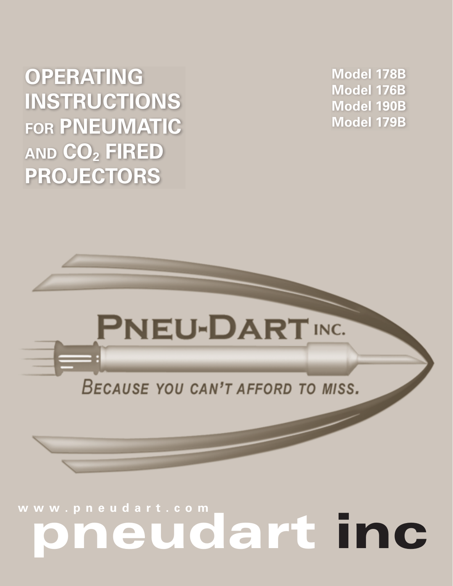# eudart inc

# BECAUSE YOU CAN'T AFFORD TO MISS.

# **PNEU-DART INC.**



Model 178B Model 176B **Model 190B** Model 179B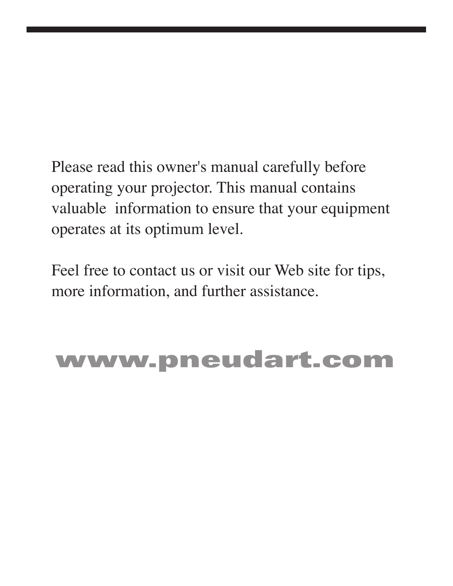Please read this owner's manual carefully before operating your projector. This manual contains valuable information to ensure that your equipment operates at its optimum level.

Feel free to contact us or visit our Web site for tips, more information, and further assistance.

# www.pneudart.com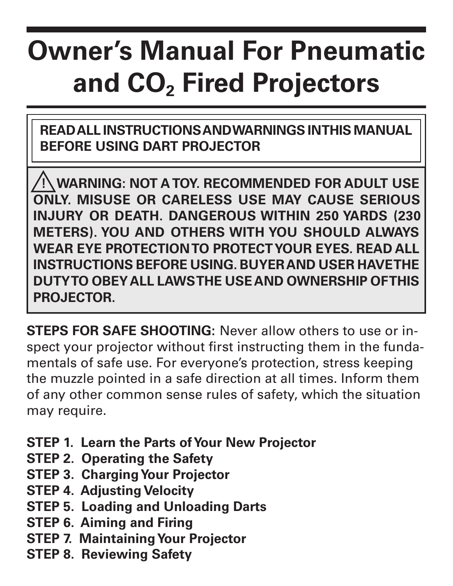# **Owner's Manual For Pneumatic** and CO<sub>2</sub> Fired Projectors

READ ALL INSTRUCTIONS AND WARNINGS IN THIS MANUAL **BEFORE USING DART PROJECTOR** 

**WARNING: NOT A TOY. RECOMMENDED FOR ADULT USE ONLY. MISUSE OR CARELESS USE MAY CAUSE SERIOUS** INJURY OR DEATH. DANGEROUS WITHIN 250 YARDS (230 METERS). YOU AND OTHERS WITH YOU SHOULD ALWAYS WEAR EYE PROTECTION TO PROTECT YOUR EYES. READ ALL **INSTRUCTIONS BEFORE USING, BUYER AND USER HAVETHE** DUTYTO OBEY ALL LAWSTHE USE AND OWNERSHIP OFTHIS PROJECTOR.

**STEPS FOR SAFE SHOOTING:** Never allow others to use or inspect your projector without first instructing them in the fundamentals of safe use. For everyone's protection, stress keeping the muzzle pointed in a safe direction at all times. Inform them of any other common sense rules of safety, which the situation may require.

- STEP 1. Learn the Parts of Your New Projector
- **STEP 2. Operating the Safety**
- **STEP 3. Charging Your Projector**
- **STEP 4. Adjusting Velocity**
- **STEP 5. Loading and Unloading Darts**
- **STEP 6. Aiming and Firing**
- **STEP 7. Maintaining Your Projector**
- **STEP 8. Reviewing Safety**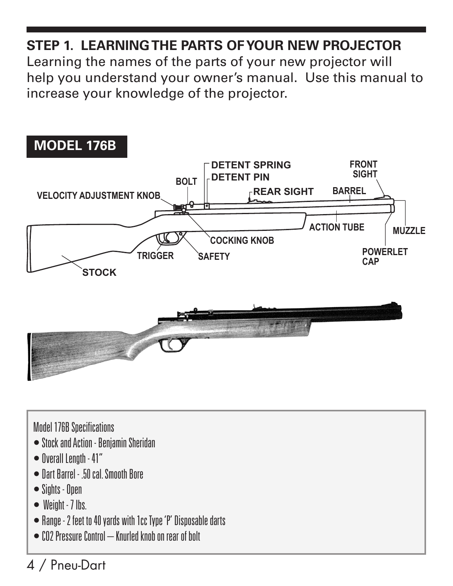# STEP 1 I FARNING THE PARTS OF YOUR NEW PROJECTOR

Learning the names of the parts of your new projector will help you understand your owner's manual. Use this manual to increase your knowledge of the projector.



#### **Model 176B Specifications**

- Stock and Action Benjamin Sheridan
- $\bullet$  fiverall Lenoth 41"
- Dart Barrel 50 cal Smooth Bore
- $\bullet$  Sights Onen
- $\bullet$  Weight 7 lhs
- Range 2 feet to 40 vards with 1cc Type 'P' Disposable darts
- $\bullet$  CO2 Pressure Control Knurled knob on rear of bolt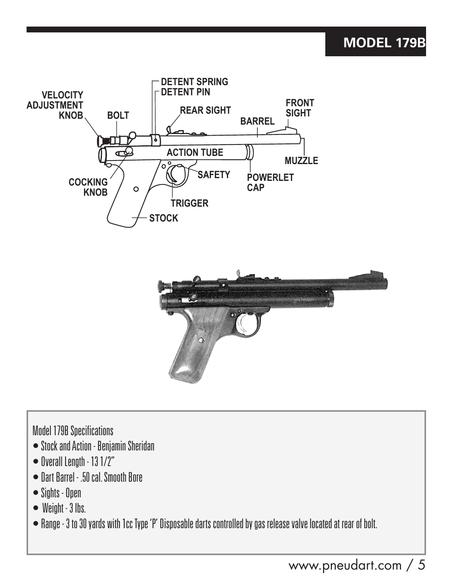#### **MODEL 179B**





**Model 179B Specifications** 

- Stock and Action Beniamin Sheridan
- $\bullet$  Overall Length 13 1/2"
- Dart Barrel 50 cal Smooth Bore
- $\bullet$  Sights Open
- $\bullet$  Weight  $-3$  lbs.
- Range 3 to 30 vards with 1cc Type 'P' Disposable darts controlled by gas release valve located at rear of bolt.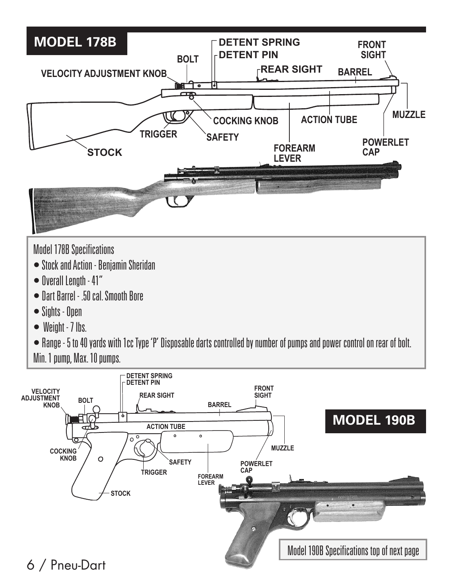

Min. 1 pump. Max. 10 pumps.

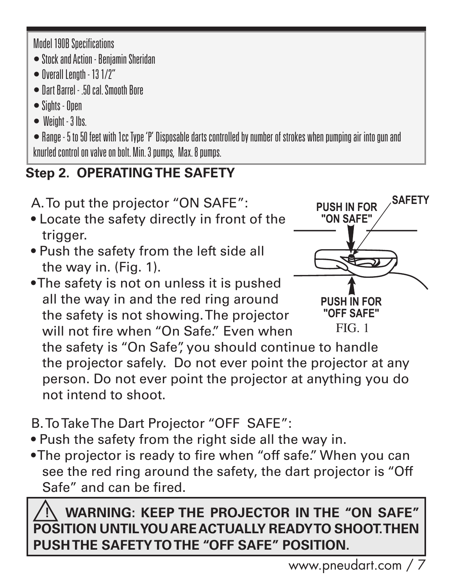**Model 190B Specifications** 

- Stock and Action Beniamin Sheridan
- $\bullet$  fiverall Lennth 13 1/2"
- Dart Barrel 50 cal Smooth Bore
- $\bullet$  Sinhts Onen
- $\bullet$  Weight  $3$  lbs.

• Range - 5 to 50 feet with 1cc Type 'P' Disposable darts controlled by number of strokes when pumping air into gun and knurled control on valve on bolt. Min. 3 numos. Max. 8 numos.

# **Step 2. OPERATING THE SAFETY**

A. To put the projector "ON SAFE":

- Locate the safety directly in front of the trigger.
- . Push the safety from the left side all the way in. (Fig. 1).
- . The safety is not on unless it is pushed all the way in and the red ring around the safety is not showing. The projector will not fire when "On Safe" Even when



the safety is "On Safe" you should continue to handle the projector safely. Do not ever point the projector at any person. Do not ever point the projector at anything you do not intend to shoot.

- B. To Take The Dart Projector "OFF SAFE":
- . Push the safety from the right side all the way in.
- •The projector is ready to fire when "off safe." When you can see the red ring around the safety, the dart projector is "Off Safe" and can be fired

# **WARNING: KEEP THE PROJECTOR IN THE "ON SAFE"** POSITION UNTILYOU ARE ACTUALLY READY TO SHOOT. THEN PUSH THE SAFETY TO THE "OFF SAFE" POSITION.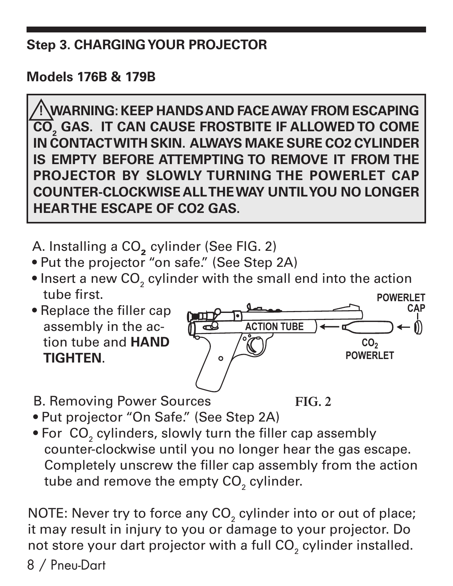#### **Step 3. CHARGING YOUR PROJECTOR**

**Models 176B & 179B** 

**NARNING: KEEP HANDS AND FACE AWAY FROM ESCAPING!** CO<sub>2</sub> GAS. IT CAN CAUSE FROSTBITE IF ALLOWED TO COME IN CONTACT WITH SKIN. ALWAYS MAKE SURE CO2 CYLINDER IS EMPTY BEFORE ATTEMPTING TO REMOVE IT FROM THE PROJECTOR BY SLOWLY TURNING THE POWERLET CAP **COUNTER-CLOCKWISE ALL THE WAY UNTIL YOU NO LONGER HEARTHE ESCAPE OF CO2 GAS.** 

A. Installing a CO<sub>2</sub> cylinder (See FIG. 2)

- . Put the projector "on safe." (See Step 2A)
- . Insert a new CO<sub>2</sub> cylinder with the small end into the action tube first **POWERI ET**
- Replace the filler cap assembly in the action tube and HAND **TIGHTEN.**



**B. Removing Power Sources** 



- . Put projector "On Safe." (See Step 2A)
- . For CO<sub>2</sub> cylinders, slowly turn the filler cap assembly counter-clockwise until you no longer hear the gas escape. Completely unscrew the filler cap assembly from the action tube and remove the empty CO<sub>2</sub> cylinder.

NOTE: Never try to force any CO<sub>2</sub> cylinder into or out of place; it may result in injury to you or damage to your projector. Do not store your dart projector with a full CO<sub>2</sub> cylinder installed.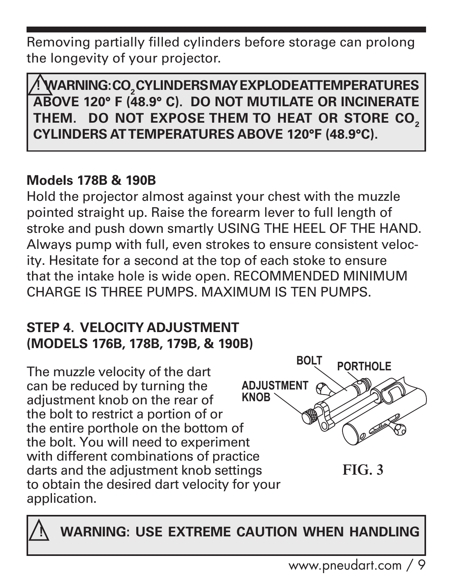Removing partially filled cylinders before storage can prolong the longevity of your projector.

WARNING: CO, CYLINDERS MAY EXPLODE ATTEMPERATURES ABOVE 120° F (48.9° C). DO NOT MUTILATE OR INCINERATE THEM. DO NOT EXPOSE THEM TO HEAT OR STORE CO. **CYLINDERS ATTEMPERATURES ABOVE 120°F (48.9°C).** 

## **Models 178B & 190B**

Hold the projector almost against your chest with the muzzle pointed straight up. Raise the forearm lever to full length of stroke and push down smartly USING THE HEEL OF THE HAND. Always pump with full, even strokes to ensure consistent velocity. Hesitate for a second at the top of each stoke to ensure that the intake hole is wide open. RECOMMENDED MINIMUM CHARGE IS THREE PUMPS MAXIMUM IS TEN PUMPS

#### **STEP 4. VELOCITY ADJUSTMENT** (MODELS 176B, 178B, 179B, & 190B)

**ROLT PORTHOLE** The muzzle velocity of the dart can be reduced by turning the **ADJUSTMENT KNOB** adjustment knob on the rear of the bolt to restrict a portion of or the entire porthole on the bottom of the bolt. You will need to experiment with different combinations of practice darts and the adjustment knob settings  $FIG<sub>3</sub>$ to obtain the desired dart velocity for your application.

**WARNING: USE EXTREME CAUTION WHEN HANDLING**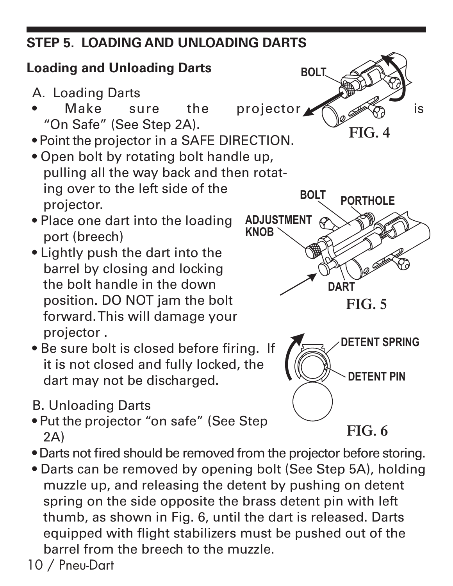# **STEP 5. LOADING AND UNLOADING DARTS**

# **Loading and Unloading Darts**

- A. Loading Darts
- Make sure the "On Safe" (See Step 2A).
- . Point the projector in a SAFE DIRECTION.
- . Open bolt by rotating bolt handle up, pulling all the way back and then rotating over to the left side of the projector.
- Place one dart into the loading port (breech)
- Lightly push the dart into the barrel by closing and locking the bolt handle in the down position. DO NOT jam the bolt forward. This will damage your projector.
- . Be sure bolt is closed before firing. If it is not closed and fully locked, the dart may not be discharged.
- **B. Unloading Darts**
- . Put the projector "on safe" (See Step  $2A)$
- . Darts not fired should be removed from the projector before storing.
- Darts can be removed by opening bolt (See Step 5A), holding muzzle up, and releasing the detent by pushing on detent spring on the side opposite the brass detent pin with left thumb, as shown in Fig. 6, until the dart is released. Darts equipped with flight stabilizers must be pushed out of the barrel from the breech to the muzzle.

10 / Pneu-Dart

**BOLT** projector  $\blacktriangleright$ is  $FIG 4$ 



 $FIG. 5$ 



 $FIG. 6$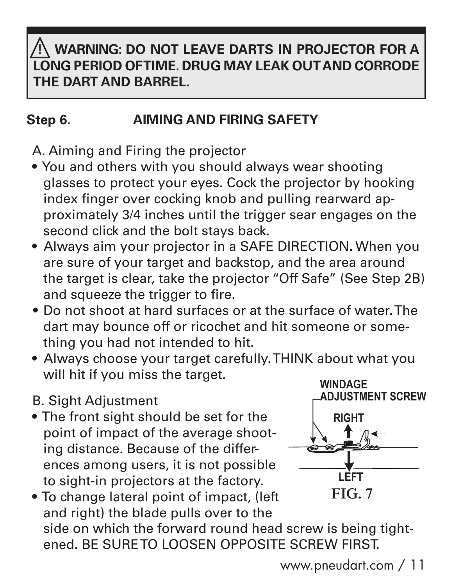# **WARNING: DO NOT LEAVE DARTS IN PROJECTOR FOR A** LONG PERIOD OF TIME. DRUG MAY LEAK OUT AND CORRODE THE DART AND BARREL.

#### **AIMING AND FIRING SAFETY** Step 6.

A. Aiming and Firing the projector

- You and others with you should always wear shooting glasses to protect your eyes. Cock the projector by hooking index finger over cocking knob and pulling rearward approximately 3/4 inches until the trigger sear engages on the second click and the bolt stavs back.
- Always aim your projector in a SAFE DIRECTION. When you are sure of your target and backstop, and the area around the target is clear, take the projector "Off Safe" (See Step 2B) and squeeze the trigger to fire.
- Do not shoot at hard surfaces or at the surface of water. The dart may bounce off or ricochet and hit someone or something you had not intended to hit.
- Always choose your target carefully. THINK about what you will hit if you miss the target.

#### **B. Sight Adjustment**

• The front sight should be set for the point of impact of the average shooting distance. Because of the differences among users, it is not possible to sight-in projectors at the factory.



. To change lateral point of impact, (left and right) the blade pulls over to the side on which the forward round head screw is being tightened. BE SURE TO LOOSEN OPPOSITE SCREW FIRST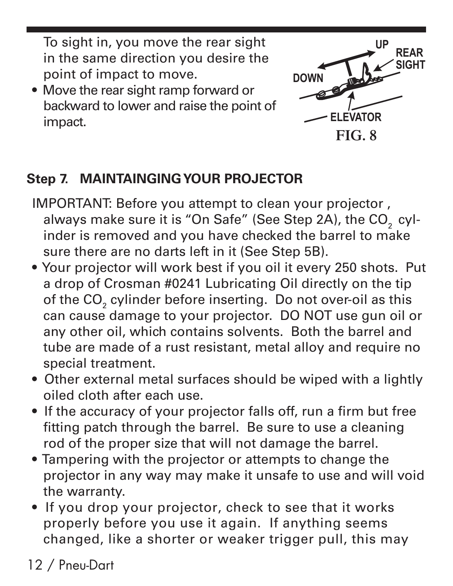To sight in, you move the rear sight in the same direction you desire the point of impact to move.

• Move the rear sight ramp forward or backward to lower and raise the point of impact.



# **Step 7. MAINTAINGING YOUR PROJECTOR**

- IMPORTANT: Before you attempt to clean your projector, always make sure it is "On Safe" (See Step 2A), the CO<sub>2</sub> cylinder is removed and you have checked the barrel to make sure there are no darts left in it (See Step 5B).
- . Your projector will work best if you oil it every 250 shots. Put a drop of Crosman #0241 Lubricating Oil directly on the tip of the CO<sub>2</sub> cylinder before inserting. Do not over-oil as this can cause damage to your projector. DO NOT use qun oil or any other oil, which contains solvents. Both the barrel and tube are made of a rust resistant, metal alloy and require no special treatment.
- Other external metal surfaces should be wiped with a lightly oiled cloth after each use
- If the accuracy of your projector falls off, run a firm but free fitting patch through the barrel. Be sure to use a cleaning rod of the proper size that will not damage the barrel.
- Tampering with the projector or attempts to change the projector in any way may make it unsafe to use and will void the warranty.
- If you drop your projector, check to see that it works properly before you use it again. If anything seems changed, like a shorter or weaker trigger pull, this may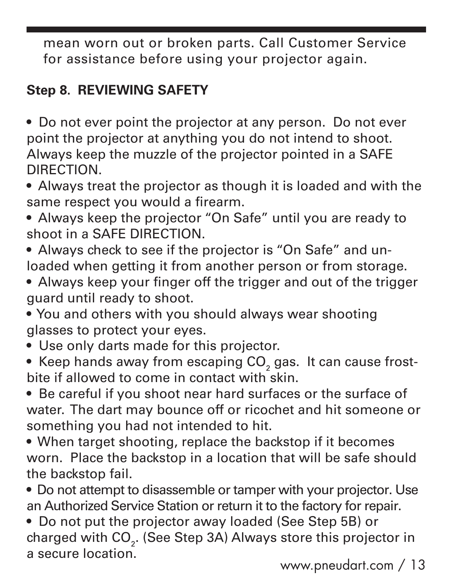mean worn out or broken parts. Call Customer Service for assistance before using your projector again.

## **Step 8. REVIEWING SAFETY**

- Do not ever point the projector at any person. Do not ever point the projector at anything you do not intend to shoot. Always keep the muzzle of the projector pointed in a SAFE **DIRECTION**
- Always treat the projector as though it is loaded and with the same respect you would a firearm.
- Always keep the projector "On Safe" until you are ready to shoot in a SAFE DIRECTION.
- Always check to see if the projector is "On Safe" and unloaded when getting it from another person or from storage.
- Always keep your finger off the trigger and out of the trigger quard until ready to shoot.
- . You and others with you should always wear shooting glasses to protect your eyes.
- Use only darts made for this projector.
- Keep hands away from escaping CO<sub>2</sub> gas. It can cause frostbite if allowed to come in contact with skin.
- Be careful if you shoot near hard surfaces or the surface of water. The dart may bounce off or ricochet and hit someone or something you had not intended to hit.
- When target shooting, replace the backstop if it becomes worn. Place the backstop in a location that will be safe should the backstop fail.
- Do not attempt to disassemble or tamper with your projector. Use an Authorized Service Station or return it to the factory for repair.
- Do not put the projector away loaded (See Step 5B) or charged with CO<sub>2</sub>. (See Step 3A) Always store this projector in a secure location.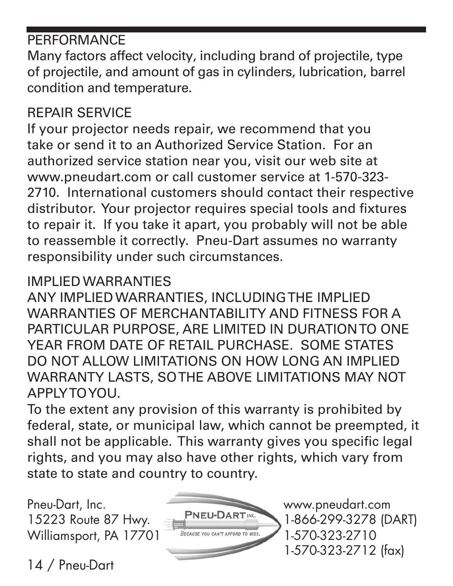# **PERFORMANCE**

Many factors affect velocity, including brand of projectile, type of projectile, and amount of gas in cylinders, lubrication, barrel condition and temperature.

# **REPAIR SERVICE**

If your projector needs repair, we recommend that you take or send it to an Authorized Service Station. For an authorized service station near you, visit our web site at www.pneudart.com or call customer service at 1-570-323-2710. International customers should contact their respective distributor. Your projector requires special tools and fixtures to repair it. If you take it apart, you probably will not be able to reassemble it correctly. Pneu-Dart assumes no warranty responsibility under such circumstances.

#### IMPLIED WARRANTIES

ANY IMPLIED WARRANTIES, INCLUDING THE IMPLIED WARRANTIES OF MERCHANTABILITY AND FITNESS FOR A PARTICULAR PURPOSE, ARE LIMITED IN DURATION TO ONE YEAR FROM DATE OF RETAIL PURCHASE SOME STATES DO NOT ALLOW LIMITATIONS ON HOW LONG AN IMPLIED WARRANTY LASTS, SOTHE ABOVE LIMITATIONS MAY NOT APPLYTOYOU.

To the extent any provision of this warranty is prohibited by federal, state, or municipal law, which cannot be preempted, it shall not be applicable. This warranty gives you specific legal rights, and you may also have other rights, which vary from state to state and country to country.

Pneu-Dart, Inc. 15223 Route 87 Hwy. Williamsport, PA 17701



www.pneudart.com 1-866-299-3278 (DART) 1-570-323-2710 1-570-323-2712 (fax)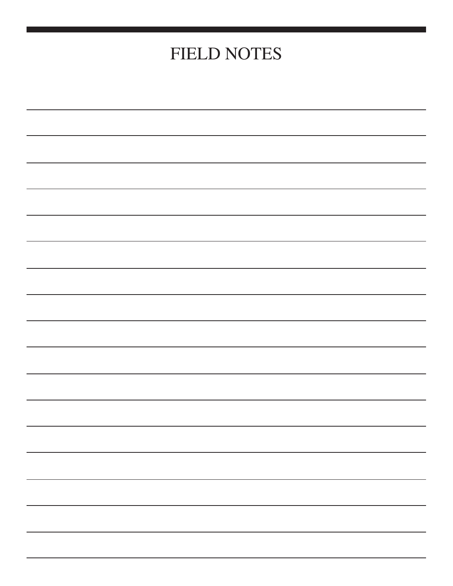# **FIELD NOTES**